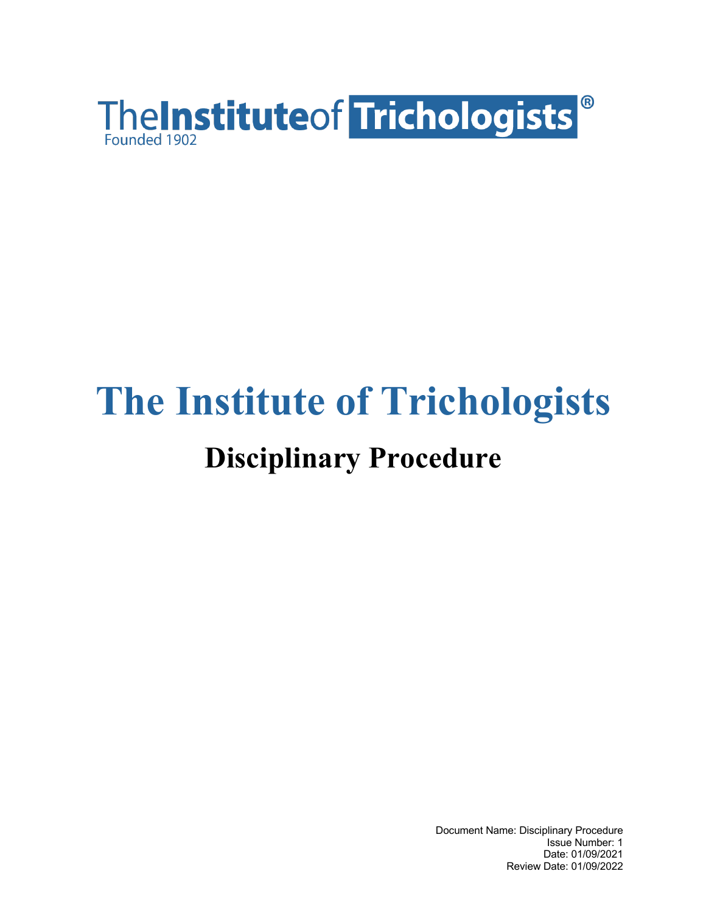

# **The Institute of Trichologists Disciplinary Procedure**

Document Name: Disciplinary Procedure Issue Number: 1 Date: 01/09/2021 Review Date: 01/09/2022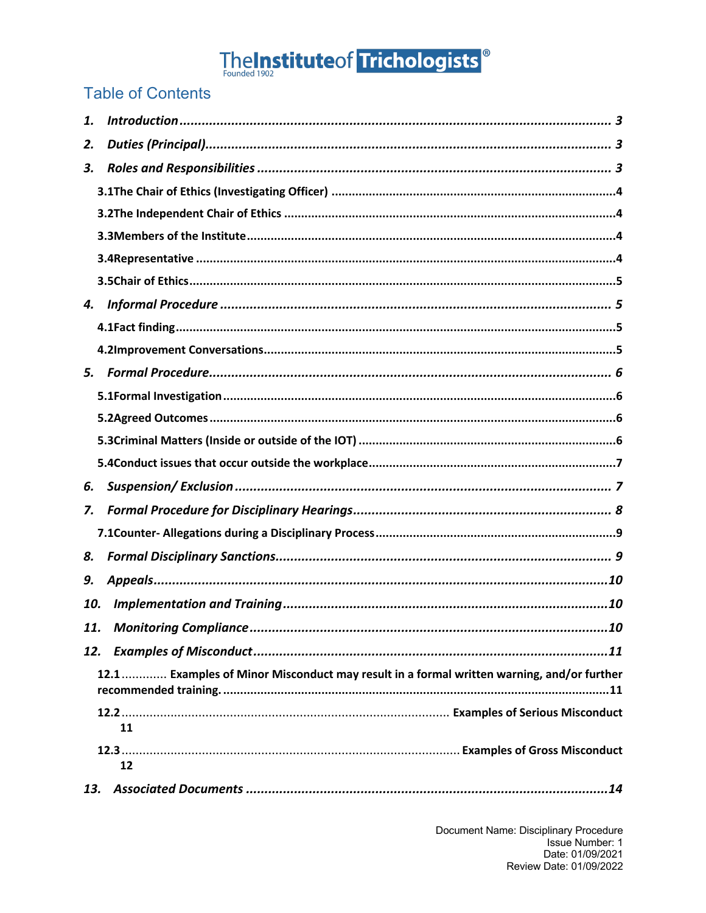# TheInstituteof Trichologists<sup>®</sup>

# **Table of Contents**

| 1.  |                                                                                           |  |  |  |  |
|-----|-------------------------------------------------------------------------------------------|--|--|--|--|
| 2.  |                                                                                           |  |  |  |  |
| 3.  |                                                                                           |  |  |  |  |
|     |                                                                                           |  |  |  |  |
|     |                                                                                           |  |  |  |  |
|     |                                                                                           |  |  |  |  |
|     |                                                                                           |  |  |  |  |
|     |                                                                                           |  |  |  |  |
| 4.  |                                                                                           |  |  |  |  |
|     |                                                                                           |  |  |  |  |
|     |                                                                                           |  |  |  |  |
| 5.  |                                                                                           |  |  |  |  |
|     |                                                                                           |  |  |  |  |
|     |                                                                                           |  |  |  |  |
|     |                                                                                           |  |  |  |  |
|     |                                                                                           |  |  |  |  |
| 6.  |                                                                                           |  |  |  |  |
| 7.  |                                                                                           |  |  |  |  |
|     |                                                                                           |  |  |  |  |
| 8.  |                                                                                           |  |  |  |  |
| 9.  |                                                                                           |  |  |  |  |
| 10. |                                                                                           |  |  |  |  |
| 11. | .10                                                                                       |  |  |  |  |
| 12. |                                                                                           |  |  |  |  |
|     | 12.1  Examples of Minor Misconduct may result in a formal written warning, and/or further |  |  |  |  |
| 11  |                                                                                           |  |  |  |  |
|     | 12                                                                                        |  |  |  |  |
|     |                                                                                           |  |  |  |  |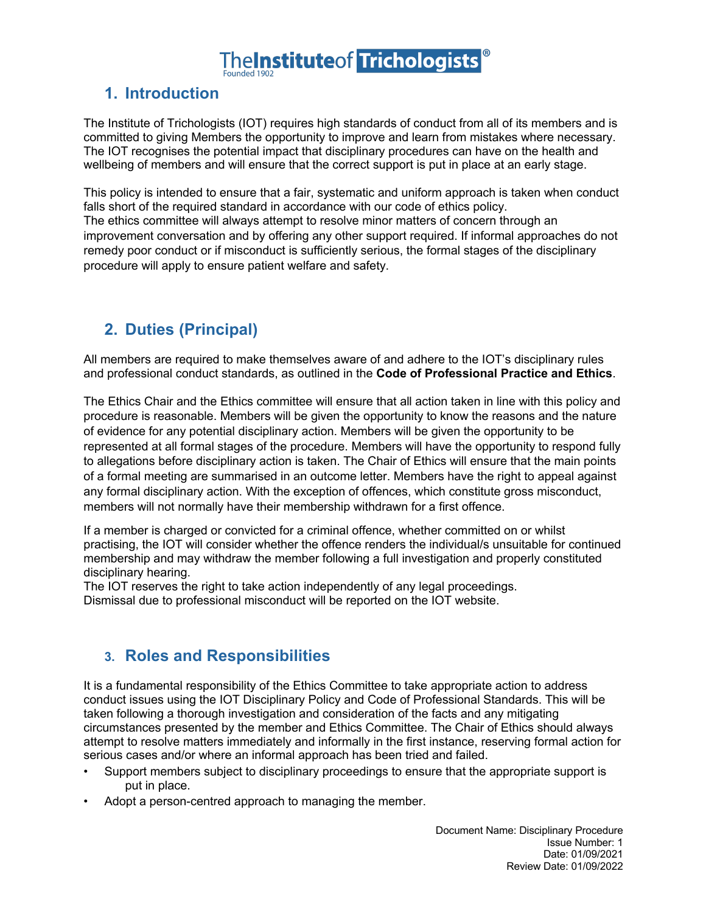# **1. Introduction**

The Institute of Trichologists (IOT) requires high standards of conduct from all of its members and is committed to giving Members the opportunity to improve and learn from mistakes where necessary. The IOT recognises the potential impact that disciplinary procedures can have on the health and wellbeing of members and will ensure that the correct support is put in place at an early stage.

This policy is intended to ensure that a fair, systematic and uniform approach is taken when conduct falls short of the required standard in accordance with our code of ethics policy. The ethics committee will always attempt to resolve minor matters of concern through an improvement conversation and by offering any other support required. If informal approaches do not remedy poor conduct or if misconduct is sufficiently serious, the formal stages of the disciplinary procedure will apply to ensure patient welfare and safety.

# **2. Duties (Principal)**

All members are required to make themselves aware of and adhere to the IOT's disciplinary rules and professional conduct standards, as outlined in the **Code of Professional Practice and Ethics**.

The Ethics Chair and the Ethics committee will ensure that all action taken in line with this policy and procedure is reasonable. Members will be given the opportunity to know the reasons and the nature of evidence for any potential disciplinary action. Members will be given the opportunity to be represented at all formal stages of the procedure. Members will have the opportunity to respond fully to allegations before disciplinary action is taken. The Chair of Ethics will ensure that the main points of a formal meeting are summarised in an outcome letter. Members have the right to appeal against any formal disciplinary action. With the exception of offences, which constitute gross misconduct, members will not normally have their membership withdrawn for a first offence.

If a member is charged or convicted for a criminal offence, whether committed on or whilst practising, the IOT will consider whether the offence renders the individual/s unsuitable for continued membership and may withdraw the member following a full investigation and properly constituted disciplinary hearing.

The IOT reserves the right to take action independently of any legal proceedings. Dismissal due to professional misconduct will be reported on the IOT website.

# **3. Roles and Responsibilities**

It is a fundamental responsibility of the Ethics Committee to take appropriate action to address conduct issues using the IOT Disciplinary Policy and Code of Professional Standards. This will be taken following a thorough investigation and consideration of the facts and any mitigating circumstances presented by the member and Ethics Committee. The Chair of Ethics should always attempt to resolve matters immediately and informally in the first instance, reserving formal action for serious cases and/or where an informal approach has been tried and failed.

- Support members subject to disciplinary proceedings to ensure that the appropriate support is put in place.
- Adopt a person-centred approach to managing the member.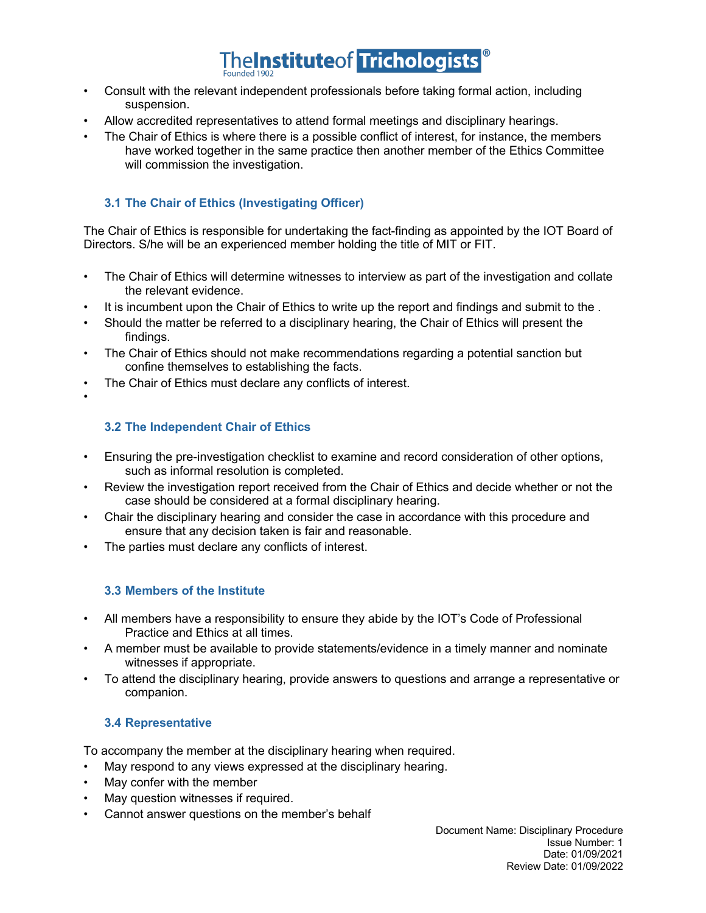- Consult with the relevant independent professionals before taking formal action, including suspension.
- Allow accredited representatives to attend formal meetings and disciplinary hearings.
- The Chair of Ethics is where there is a possible conflict of interest, for instance, the members have worked together in the same practice then another member of the Ethics Committee will commission the investigation.

### **3.1 The Chair of Ethics (Investigating Officer)**

The Chair of Ethics is responsible for undertaking the fact-finding as appointed by the IOT Board of Directors. S/he will be an experienced member holding the title of MIT or FIT.

- The Chair of Ethics will determine witnesses to interview as part of the investigation and collate the relevant evidence.
- It is incumbent upon the Chair of Ethics to write up the report and findings and submit to the .
- Should the matter be referred to a disciplinary hearing, the Chair of Ethics will present the findings.
- The Chair of Ethics should not make recommendations regarding a potential sanction but confine themselves to establishing the facts.
- The Chair of Ethics must declare any conflicts of interest.
- •

### **3.2 The Independent Chair of Ethics**

- Ensuring the pre-investigation checklist to examine and record consideration of other options, such as informal resolution is completed.
- Review the investigation report received from the Chair of Ethics and decide whether or not the case should be considered at a formal disciplinary hearing.
- Chair the disciplinary hearing and consider the case in accordance with this procedure and ensure that any decision taken is fair and reasonable.
- The parties must declare any conflicts of interest.

### **3.3 Members of the Institute**

- All members have a responsibility to ensure they abide by the IOT's Code of Professional Practice and Ethics at all times.
- A member must be available to provide statements/evidence in a timely manner and nominate witnesses if appropriate.
- To attend the disciplinary hearing, provide answers to questions and arrange a representative or companion.

### **3.4 Representative**

To accompany the member at the disciplinary hearing when required.

- May respond to any views expressed at the disciplinary hearing.
- May confer with the member
- May question witnesses if required.
- Cannot answer questions on the member's behalf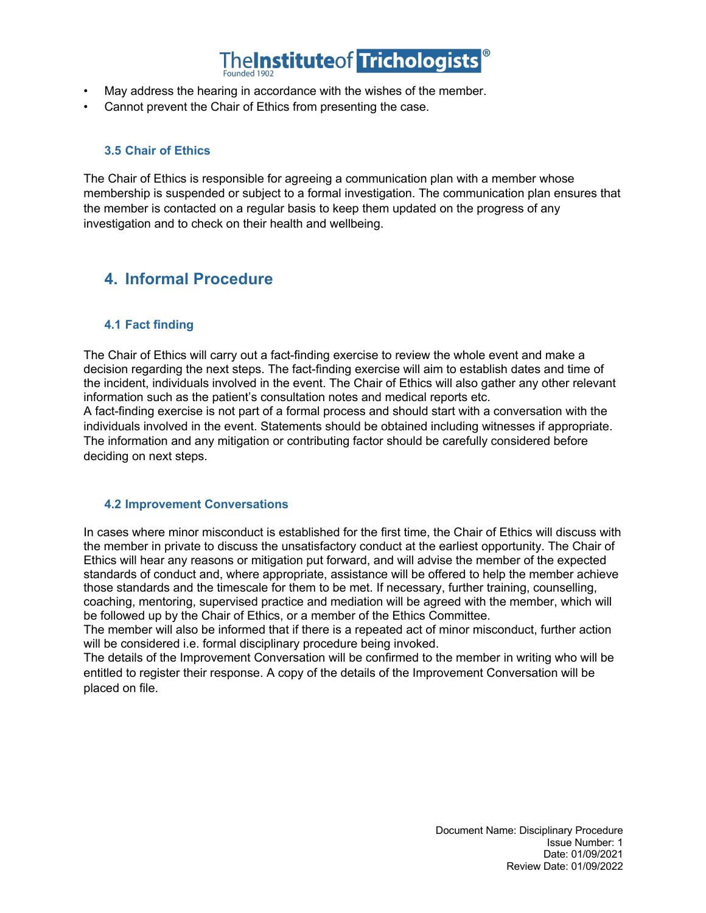- May address the hearing in accordance with the wishes of the member.
- Cannot prevent the Chair of Ethics from presenting the case.

### **3.5 Chair of Ethics**

The Chair of Ethics is responsible for agreeing a communication plan with a member whose membership is suspended or subject to a formal investigation. The communication plan ensures that the member is contacted on a regular basis to keep them updated on the progress of any investigation and to check on their health and wellbeing.

### **4. Informal Procedure**

### **4.1 Fact finding**

The Chair of Ethics will carry out a fact-finding exercise to review the whole event and make a decision regarding the next steps. The fact-finding exercise will aim to establish dates and time of the incident, individuals involved in the event. The Chair of Ethics will also gather any other relevant information such as the patient's consultation notes and medical reports etc. A fact-finding exercise is not part of a formal process and should start with a conversation with the individuals involved in the event. Statements should be obtained including witnesses if appropriate. The information and any mitigation or contributing factor should be carefully considered before deciding on next steps.

#### **4.2 Improvement Conversations**

In cases where minor misconduct is established for the first time, the Chair of Ethics will discuss with the member in private to discuss the unsatisfactory conduct at the earliest opportunity. The Chair of Ethics will hear any reasons or mitigation put forward, and will advise the member of the expected standards of conduct and, where appropriate, assistance will be offered to help the member achieve those standards and the timescale for them to be met. If necessary, further training, counselling, coaching, mentoring, supervised practice and mediation will be agreed with the member, which will be followed up by the Chair of Ethics, or a member of the Ethics Committee.

The member will also be informed that if there is a repeated act of minor misconduct, further action will be considered i.e. formal disciplinary procedure being invoked.

The details of the Improvement Conversation will be confirmed to the member in writing who will be entitled to register their response. A copy of the details of the Improvement Conversation will be placed on file.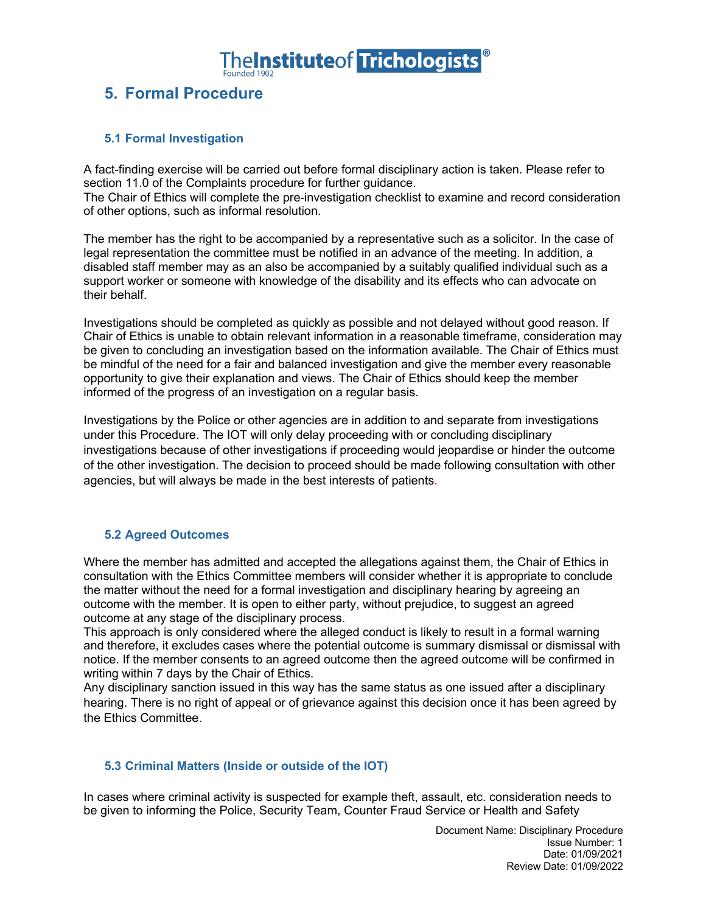

### **5. Formal Procedure**

### **5.1 Formal Investigation**

A fact-finding exercise will be carried out before formal disciplinary action is taken. Please refer to section 11.0 of the Complaints procedure for further guidance.

The Chair of Ethics will complete the pre-investigation checklist to examine and record consideration of other options, such as informal resolution.

The member has the right to be accompanied by a representative such as a solicitor. In the case of legal representation the committee must be notified in an advance of the meeting. In addition, a disabled staff member may as an also be accompanied by a suitably qualified individual such as a support worker or someone with knowledge of the disability and its effects who can advocate on their behalf.

Investigations should be completed as quickly as possible and not delayed without good reason. If Chair of Ethics is unable to obtain relevant information in a reasonable timeframe, consideration may be given to concluding an investigation based on the information available. The Chair of Ethics must be mindful of the need for a fair and balanced investigation and give the member every reasonable opportunity to give their explanation and views. The Chair of Ethics should keep the member informed of the progress of an investigation on a regular basis.

Investigations by the Police or other agencies are in addition to and separate from investigations under this Procedure. The IOT will only delay proceeding with or concluding disciplinary investigations because of other investigations if proceeding would jeopardise or hinder the outcome of the other investigation. The decision to proceed should be made following consultation with other agencies, but will always be made in the best interests of patients.

### **5.2 Agreed Outcomes**

Where the member has admitted and accepted the allegations against them, the Chair of Ethics in consultation with the Ethics Committee members will consider whether it is appropriate to conclude the matter without the need for a formal investigation and disciplinary hearing by agreeing an outcome with the member. It is open to either party, without prejudice, to suggest an agreed outcome at any stage of the disciplinary process.

This approach is only considered where the alleged conduct is likely to result in a formal warning and therefore, it excludes cases where the potential outcome is summary dismissal or dismissal with notice. If the member consents to an agreed outcome then the agreed outcome will be confirmed in writing within 7 days by the Chair of Ethics.

Any disciplinary sanction issued in this way has the same status as one issued after a disciplinary hearing. There is no right of appeal or of grievance against this decision once it has been agreed by the Ethics Committee.

### **5.3 Criminal Matters (Inside or outside of the IOT)**

In cases where criminal activity is suspected for example theft, assault, etc. consideration needs to be given to informing the Police, Security Team, Counter Fraud Service or Health and Safety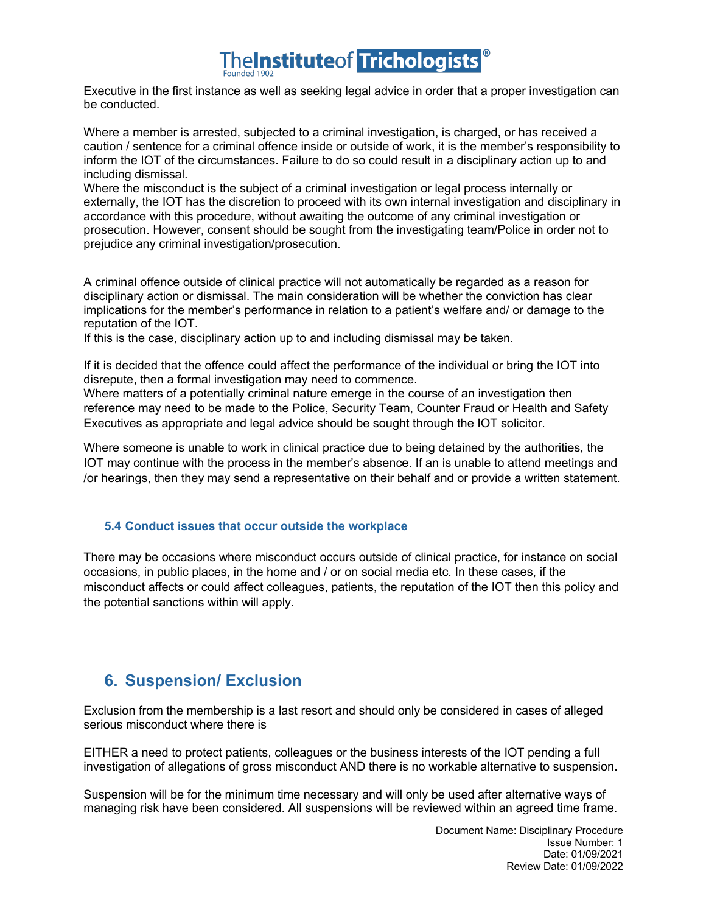Executive in the first instance as well as seeking legal advice in order that a proper investigation can be conducted.

Where a member is arrested, subjected to a criminal investigation, is charged, or has received a caution / sentence for a criminal offence inside or outside of work, it is the member's responsibility to inform the IOT of the circumstances. Failure to do so could result in a disciplinary action up to and including dismissal.

Where the misconduct is the subject of a criminal investigation or legal process internally or externally, the IOT has the discretion to proceed with its own internal investigation and disciplinary in accordance with this procedure, without awaiting the outcome of any criminal investigation or prosecution. However, consent should be sought from the investigating team/Police in order not to prejudice any criminal investigation/prosecution.

A criminal offence outside of clinical practice will not automatically be regarded as a reason for disciplinary action or dismissal. The main consideration will be whether the conviction has clear implications for the member's performance in relation to a patient's welfare and/ or damage to the reputation of the IOT.

If this is the case, disciplinary action up to and including dismissal may be taken.

If it is decided that the offence could affect the performance of the individual or bring the IOT into disrepute, then a formal investigation may need to commence.

Where matters of a potentially criminal nature emerge in the course of an investigation then reference may need to be made to the Police, Security Team, Counter Fraud or Health and Safety Executives as appropriate and legal advice should be sought through the IOT solicitor.

Where someone is unable to work in clinical practice due to being detained by the authorities, the IOT may continue with the process in the member's absence. If an is unable to attend meetings and /or hearings, then they may send a representative on their behalf and or provide a written statement.

### **5.4 Conduct issues that occur outside the workplace**

There may be occasions where misconduct occurs outside of clinical practice, for instance on social occasions, in public places, in the home and / or on social media etc. In these cases, if the misconduct affects or could affect colleagues, patients, the reputation of the IOT then this policy and the potential sanctions within will apply.

# **6. Suspension/ Exclusion**

Exclusion from the membership is a last resort and should only be considered in cases of alleged serious misconduct where there is

EITHER a need to protect patients, colleagues or the business interests of the IOT pending a full investigation of allegations of gross misconduct AND there is no workable alternative to suspension.

Suspension will be for the minimum time necessary and will only be used after alternative ways of managing risk have been considered. All suspensions will be reviewed within an agreed time frame.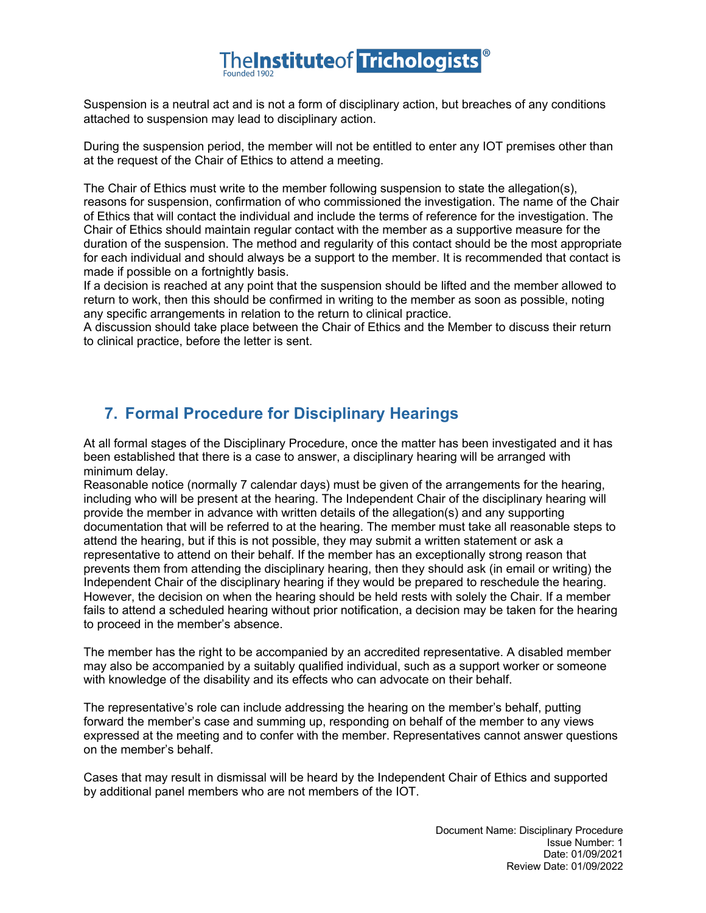Suspension is a neutral act and is not a form of disciplinary action, but breaches of any conditions attached to suspension may lead to disciplinary action.

During the suspension period, the member will not be entitled to enter any IOT premises other than at the request of the Chair of Ethics to attend a meeting.

The Chair of Ethics must write to the member following suspension to state the allegation(s), reasons for suspension, confirmation of who commissioned the investigation. The name of the Chair of Ethics that will contact the individual and include the terms of reference for the investigation. The Chair of Ethics should maintain regular contact with the member as a supportive measure for the duration of the suspension. The method and regularity of this contact should be the most appropriate for each individual and should always be a support to the member. It is recommended that contact is made if possible on a fortnightly basis.

If a decision is reached at any point that the suspension should be lifted and the member allowed to return to work, then this should be confirmed in writing to the member as soon as possible, noting any specific arrangements in relation to the return to clinical practice.

A discussion should take place between the Chair of Ethics and the Member to discuss their return to clinical practice, before the letter is sent.

# **7. Formal Procedure for Disciplinary Hearings**

At all formal stages of the Disciplinary Procedure, once the matter has been investigated and it has been established that there is a case to answer, a disciplinary hearing will be arranged with minimum delay.

Reasonable notice (normally 7 calendar days) must be given of the arrangements for the hearing, including who will be present at the hearing. The Independent Chair of the disciplinary hearing will provide the member in advance with written details of the allegation(s) and any supporting documentation that will be referred to at the hearing. The member must take all reasonable steps to attend the hearing, but if this is not possible, they may submit a written statement or ask a representative to attend on their behalf. If the member has an exceptionally strong reason that prevents them from attending the disciplinary hearing, then they should ask (in email or writing) the Independent Chair of the disciplinary hearing if they would be prepared to reschedule the hearing. However, the decision on when the hearing should be held rests with solely the Chair. If a member fails to attend a scheduled hearing without prior notification, a decision may be taken for the hearing to proceed in the member's absence.

The member has the right to be accompanied by an accredited representative. A disabled member may also be accompanied by a suitably qualified individual, such as a support worker or someone with knowledge of the disability and its effects who can advocate on their behalf.

The representative's role can include addressing the hearing on the member's behalf, putting forward the member's case and summing up, responding on behalf of the member to any views expressed at the meeting and to confer with the member. Representatives cannot answer questions on the member's behalf.

Cases that may result in dismissal will be heard by the Independent Chair of Ethics and supported by additional panel members who are not members of the IOT.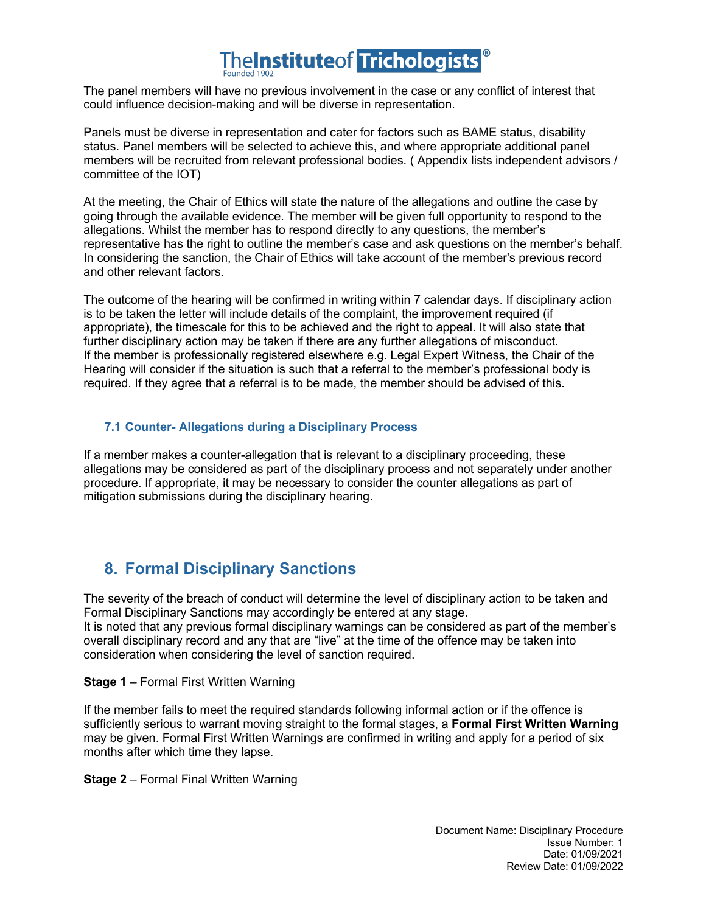The panel members will have no previous involvement in the case or any conflict of interest that could influence decision-making and will be diverse in representation.

Panels must be diverse in representation and cater for factors such as BAME status, disability status. Panel members will be selected to achieve this, and where appropriate additional panel members will be recruited from relevant professional bodies. ( Appendix lists independent advisors / committee of the IOT)

At the meeting, the Chair of Ethics will state the nature of the allegations and outline the case by going through the available evidence. The member will be given full opportunity to respond to the allegations. Whilst the member has to respond directly to any questions, the member's representative has the right to outline the member's case and ask questions on the member's behalf. In considering the sanction, the Chair of Ethics will take account of the member's previous record and other relevant factors.

The outcome of the hearing will be confirmed in writing within 7 calendar days. If disciplinary action is to be taken the letter will include details of the complaint, the improvement required (if appropriate), the timescale for this to be achieved and the right to appeal. It will also state that further disciplinary action may be taken if there are any further allegations of misconduct. If the member is professionally registered elsewhere e.g. Legal Expert Witness, the Chair of the Hearing will consider if the situation is such that a referral to the member's professional body is required. If they agree that a referral is to be made, the member should be advised of this.

### **7.1 Counter- Allegations during a Disciplinary Process**

If a member makes a counter-allegation that is relevant to a disciplinary proceeding, these allegations may be considered as part of the disciplinary process and not separately under another procedure. If appropriate, it may be necessary to consider the counter allegations as part of mitigation submissions during the disciplinary hearing.

# **8. Formal Disciplinary Sanctions**

The severity of the breach of conduct will determine the level of disciplinary action to be taken and Formal Disciplinary Sanctions may accordingly be entered at any stage.

It is noted that any previous formal disciplinary warnings can be considered as part of the member's overall disciplinary record and any that are "live" at the time of the offence may be taken into consideration when considering the level of sanction required.

### **Stage 1** – Formal First Written Warning

If the member fails to meet the required standards following informal action or if the offence is sufficiently serious to warrant moving straight to the formal stages, a **Formal First Written Warning**  may be given. Formal First Written Warnings are confirmed in writing and apply for a period of six months after which time they lapse.

**Stage 2** – Formal Final Written Warning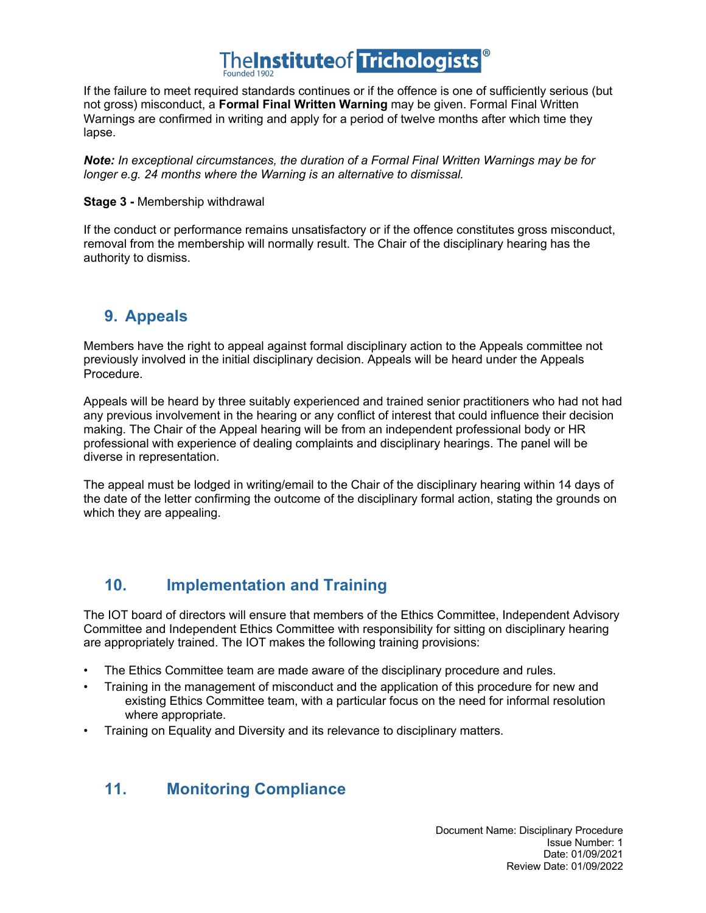If the failure to meet required standards continues or if the offence is one of sufficiently serious (but not gross) misconduct, a **Formal Final Written Warning** may be given. Formal Final Written Warnings are confirmed in writing and apply for a period of twelve months after which time they lapse.

*Note: In exceptional circumstances, the duration of a Formal Final Written Warnings may be for longer e.g. 24 months where the Warning is an alternative to dismissal.*

#### **Stage 3 -** Membership withdrawal

If the conduct or performance remains unsatisfactory or if the offence constitutes gross misconduct, removal from the membership will normally result. The Chair of the disciplinary hearing has the authority to dismiss.

### **9. Appeals**

Members have the right to appeal against formal disciplinary action to the Appeals committee not previously involved in the initial disciplinary decision. Appeals will be heard under the Appeals Procedure.

Appeals will be heard by three suitably experienced and trained senior practitioners who had not had any previous involvement in the hearing or any conflict of interest that could influence their decision making. The Chair of the Appeal hearing will be from an independent professional body or HR professional with experience of dealing complaints and disciplinary hearings. The panel will be diverse in representation.

The appeal must be lodged in writing/email to the Chair of the disciplinary hearing within 14 days of the date of the letter confirming the outcome of the disciplinary formal action, stating the grounds on which they are appealing.

# **10. Implementation and Training**

The IOT board of directors will ensure that members of the Ethics Committee, Independent Advisory Committee and Independent Ethics Committee with responsibility for sitting on disciplinary hearing are appropriately trained. The IOT makes the following training provisions:

- The Ethics Committee team are made aware of the disciplinary procedure and rules.
- Training in the management of misconduct and the application of this procedure for new and existing Ethics Committee team, with a particular focus on the need for informal resolution where appropriate.
- Training on Equality and Diversity and its relevance to disciplinary matters.

### **11. Monitoring Compliance**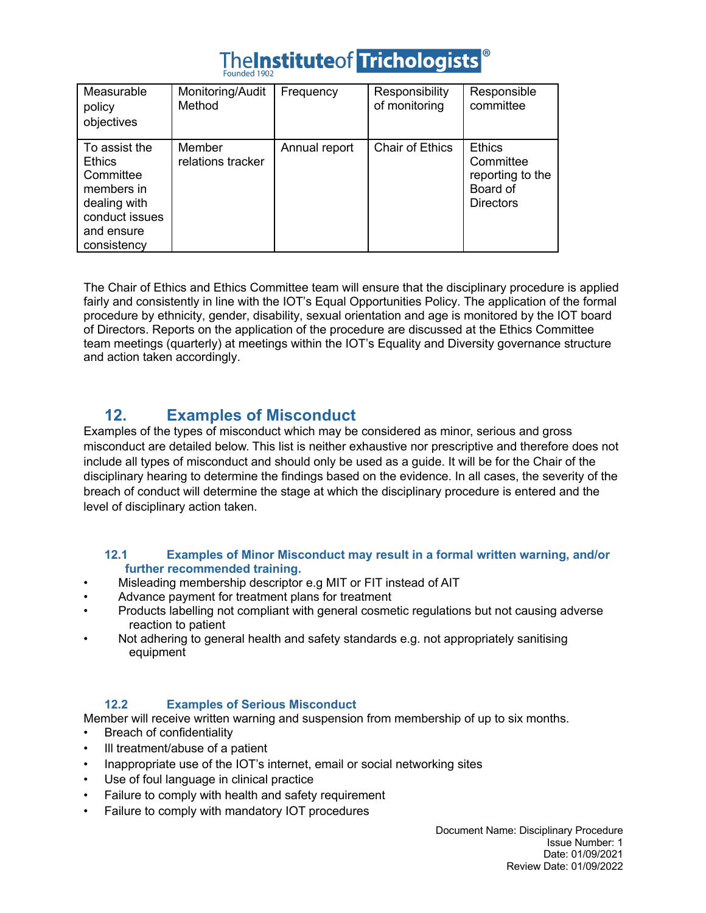| Measurable<br>policy<br>objectives                                                                                       | Monitoring/Audit<br>Method  | Frequency     | Responsibility<br>of monitoring | Responsible<br>committee                                                       |
|--------------------------------------------------------------------------------------------------------------------------|-----------------------------|---------------|---------------------------------|--------------------------------------------------------------------------------|
| To assist the<br><b>Ethics</b><br>Committee<br>members in<br>dealing with<br>conduct issues<br>and ensure<br>consistency | Member<br>relations tracker | Annual report | <b>Chair of Ethics</b>          | <b>Ethics</b><br>Committee<br>reporting to the<br>Board of<br><b>Directors</b> |

The Chair of Ethics and Ethics Committee team will ensure that the disciplinary procedure is applied fairly and consistently in line with the IOT's Equal Opportunities Policy. The application of the formal procedure by ethnicity, gender, disability, sexual orientation and age is monitored by the IOT board of Directors. Reports on the application of the procedure are discussed at the Ethics Committee team meetings (quarterly) at meetings within the IOT's Equality and Diversity governance structure and action taken accordingly.

# **12. Examples of Misconduct**

Examples of the types of misconduct which may be considered as minor, serious and gross misconduct are detailed below. This list is neither exhaustive nor prescriptive and therefore does not include all types of misconduct and should only be used as a guide. It will be for the Chair of the disciplinary hearing to determine the findings based on the evidence. In all cases, the severity of the breach of conduct will determine the stage at which the disciplinary procedure is entered and the level of disciplinary action taken.

### **12.1 Examples of Minor Misconduct may result in a formal written warning, and/or further recommended training.**

- Misleading membership descriptor e.g MIT or FIT instead of AIT
- Advance payment for treatment plans for treatment
- Products labelling not compliant with general cosmetic regulations but not causing adverse reaction to patient
- Not adhering to general health and safety standards e.g. not appropriately sanitising equipment

### **12.2 Examples of Serious Misconduct**

- Member will receive written warning and suspension from membership of up to six months.
- Breach of confidentiality
- Ill treatment/abuse of a patient
- Inappropriate use of the IOT's internet, email or social networking sites
- Use of foul language in clinical practice
- Failure to comply with health and safety requirement
- Failure to comply with mandatory IOT procedures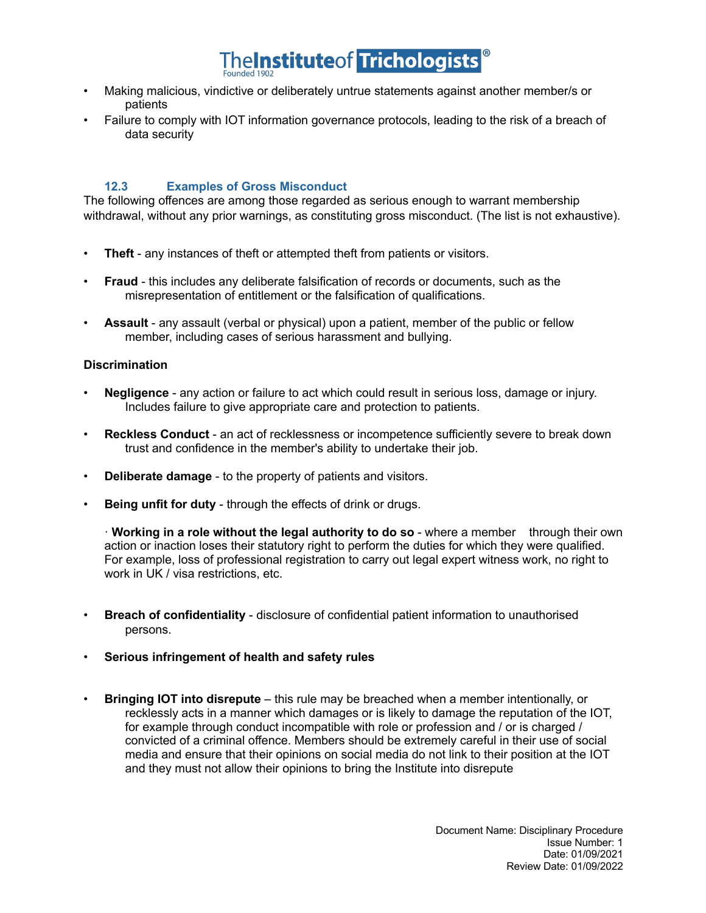- Making malicious, vindictive or deliberately untrue statements against another member/s or patients
- Failure to comply with IOT information governance protocols, leading to the risk of a breach of data security

### **12.3 Examples of Gross Misconduct**

The following offences are among those regarded as serious enough to warrant membership withdrawal, without any prior warnings, as constituting gross misconduct. (The list is not exhaustive).

- **Theft**  any instances of theft or attempted theft from patients or visitors.
- **Fraud**  this includes any deliberate falsification of records or documents, such as the misrepresentation of entitlement or the falsification of qualifications.
- **Assault**  any assault (verbal or physical) upon a patient, member of the public or fellow member, including cases of serious harassment and bullying.

### **Discrimination**

- **Negligence**  any action or failure to act which could result in serious loss, damage or injury. Includes failure to give appropriate care and protection to patients.
- **Reckless Conduct**  an act of recklessness or incompetence sufficiently severe to break down trust and confidence in the member's ability to undertake their job.
- **Deliberate damage**  to the property of patients and visitors.
- **Being unfit for duty** through the effects of drink or drugs.

· **Working in a role without the legal authority to do so** - where a member through their own action or inaction loses their statutory right to perform the duties for which they were qualified. For example, loss of professional registration to carry out legal expert witness work, no right to work in UK / visa restrictions, etc.

- **Breach of confidentiality**  disclosure of confidential patient information to unauthorised persons.
- **Serious infringement of health and safety rules**
- **Bringing IOT into disrepute**  this rule may be breached when a member intentionally, or recklessly acts in a manner which damages or is likely to damage the reputation of the IOT, for example through conduct incompatible with role or profession and / or is charged / convicted of a criminal offence. Members should be extremely careful in their use of social media and ensure that their opinions on social media do not link to their position at the IOT and they must not allow their opinions to bring the Institute into disrepute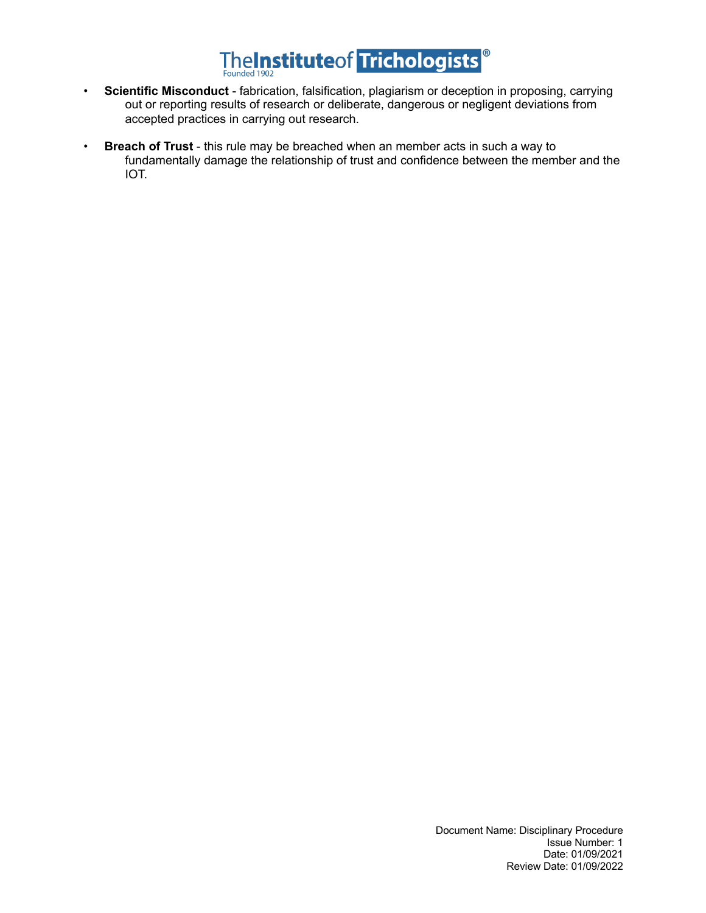# TheInstituteof Trichologists<sup>®</sup>

- **Scientific Misconduct**  fabrication, falsification, plagiarism or deception in proposing, carrying out or reporting results of research or deliberate, dangerous or negligent deviations from accepted practices in carrying out research.
- **Breach of Trust**  this rule may be breached when an member acts in such a way to fundamentally damage the relationship of trust and confidence between the member and the IOT.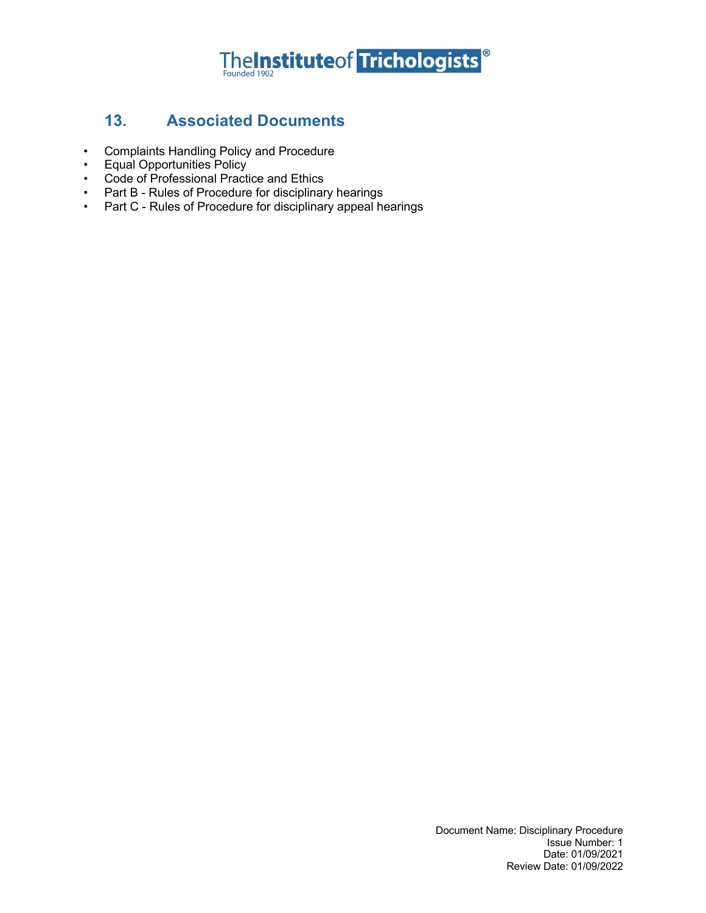

# **13. Associated Documents**

- Complaints Handling Policy and Procedure
- Equal Opportunities Policy
- Code of Professional Practice and Ethics
- Part B Rules of Procedure for disciplinary hearings
- Part C Rules of Procedure for disciplinary appeal hearings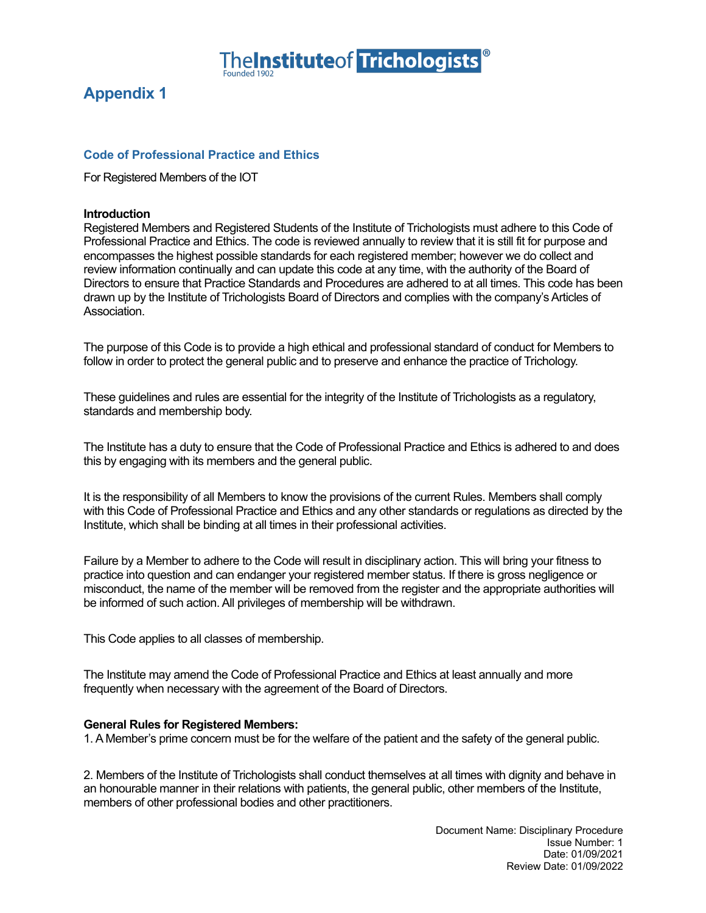

# **Appendix 1**

### **Code of Professional Practice and Ethics**

For Registered Members of the IOT

#### **Introduction**

Registered Members and Registered Students of the Institute of Trichologists must adhere to this Code of Professional Practice and Ethics. The code is reviewed annually to review that it is still fit for purpose and encompasses the highest possible standards for each registered member; however we do collect and review information continually and can update this code at any time, with the authority of the Board of Directors to ensure that Practice Standards and Procedures are adhered to at all times. This code has been drawn up by the Institute of Trichologists Board of Directors and complies with the company's Articles of Association.

The purpose of this Code is to provide a high ethical and professional standard of conduct for Members to follow in order to protect the general public and to preserve and enhance the practice of Trichology.

These guidelines and rules are essential for the integrity of the Institute of Trichologists as a regulatory, standards and membership body.

The Institute has a duty to ensure that the Code of Professional Practice and Ethics is adhered to and does this by engaging with its members and the general public.

It is the responsibility of all Members to know the provisions of the current Rules. Members shall comply with this Code of Professional Practice and Ethics and any other standards or regulations as directed by the Institute, which shall be binding at all times in their professional activities.

Failure by a Member to adhere to the Code will result in disciplinary action. This will bring your fitness to practice into question and can endanger your registered member status. If there is gross negligence or misconduct, the name of the member will be removed from the register and the appropriate authorities will be informed of such action. All privileges of membership will be withdrawn.

This Code applies to all classes of membership.

The Institute may amend the Code of Professional Practice and Ethics at least annually and more frequently when necessary with the agreement of the Board of Directors.

#### **General Rules for Registered Members:**

1. A Member's prime concern must be for the welfare of the patient and the safety of the general public.

2. Members of the Institute of Trichologists shall conduct themselves at all times with dignity and behave in an honourable manner in their relations with patients, the general public, other members of the Institute, members of other professional bodies and other practitioners.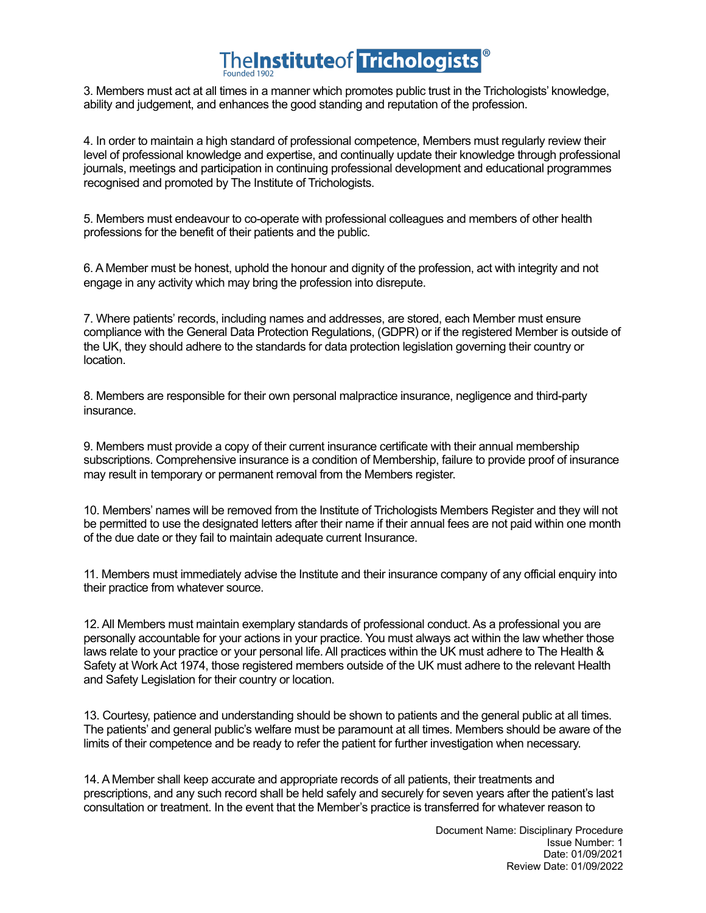3. Members must act at all times in a manner which promotes public trust in the Trichologists' knowledge, ability and judgement, and enhances the good standing and reputation of the profession.

4. In order to maintain a high standard of professional competence, Members must regularly review their level of professional knowledge and expertise, and continually update their knowledge through professional journals, meetings and participation in continuing professional development and educational programmes recognised and promoted by The Institute of Trichologists.

5. Members must endeavour to co-operate with professional colleagues and members of other health professions for the benefit of their patients and the public.

6. A Member must be honest, uphold the honour and dignity of the profession, act with integrity and not engage in any activity which may bring the profession into disrepute.

7. Where patients' records, including names and addresses, are stored, each Member must ensure compliance with the General Data Protection Regulations, (GDPR) or if the registered Member is outside of the UK, they should adhere to the standards for data protection legislation governing their country or location.

8. Members are responsible for their own personal malpractice insurance, negligence and third-party insurance.

9. Members must provide a copy of their current insurance certificate with their annual membership subscriptions. Comprehensive insurance is a condition of Membership, failure to provide proof of insurance may result in temporary or permanent removal from the Members register.

10. Members' names will be removed from the Institute of Trichologists Members Register and they will not be permitted to use the designated letters after their name if their annual fees are not paid within one month of the due date or they fail to maintain adequate current Insurance.

11. Members must immediately advise the Institute and their insurance company of any official enquiry into their practice from whatever source.

12. All Members must maintain exemplary standards of professional conduct. As a professional you are personally accountable for your actions in your practice. You must always act within the law whether those laws relate to your practice or your personal life. All practices within the UK must adhere to The Health & Safety at Work Act 1974, those registered members outside of the UK must adhere to the relevant Health and Safety Legislation for their country or location.

13. Courtesy, patience and understanding should be shown to patients and the general public at all times. The patients' and general public's welfare must be paramount at all times. Members should be aware of the limits of their competence and be ready to refer the patient for further investigation when necessary.

14. A Member shall keep accurate and appropriate records of all patients, their treatments and prescriptions, and any such record shall be held safely and securely for seven years after the patient's last consultation or treatment. In the event that the Member's practice is transferred for whatever reason to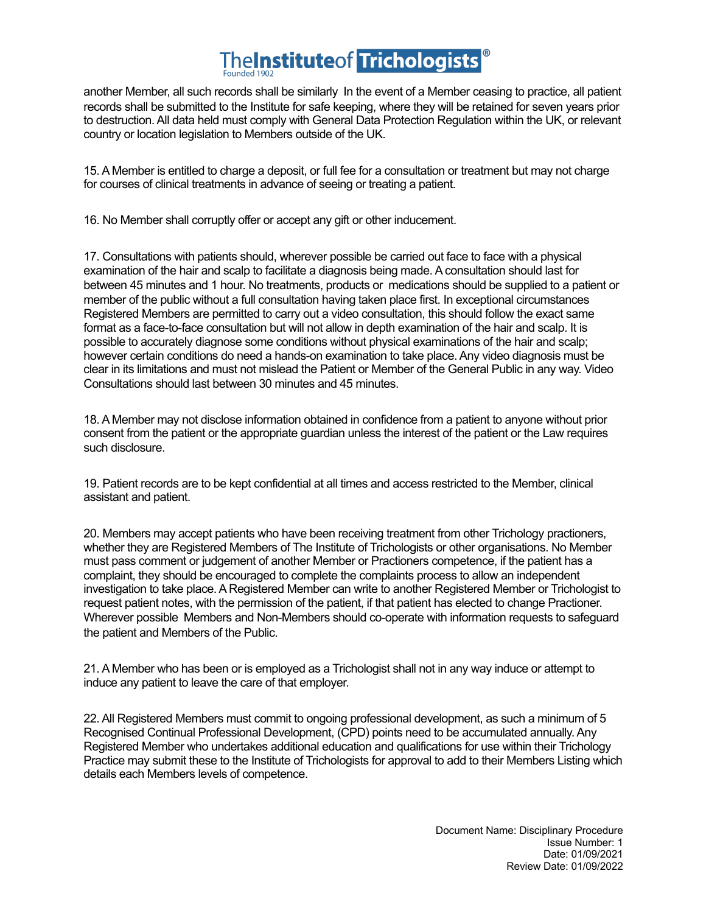another Member, all such records shall be similarly In the event of a Member ceasing to practice, all patient records shall be submitted to the Institute for safe keeping, where they will be retained for seven years prior to destruction. All data held must comply with General Data Protection Regulation within the UK, or relevant country or location legislation to Members outside of the UK.

15. A Member is entitled to charge a deposit, or full fee for a consultation or treatment but may not charge for courses of clinical treatments in advance of seeing or treating a patient.

16. No Member shall corruptly offer or accept any gift or other inducement.

17. Consultations with patients should, wherever possible be carried out face to face with a physical examination of the hair and scalp to facilitate a diagnosis being made. A consultation should last for between 45 minutes and 1 hour. No treatments, products or medications should be supplied to a patient or member of the public without a full consultation having taken place first. In exceptional circumstances Registered Members are permitted to carry out a video consultation, this should follow the exact same format as a face-to-face consultation but will not allow in depth examination of the hair and scalp. It is possible to accurately diagnose some conditions without physical examinations of the hair and scalp; however certain conditions do need a hands-on examination to take place. Any video diagnosis must be clear in its limitations and must not mislead the Patient or Member of the General Public in any way. Video Consultations should last between 30 minutes and 45 minutes.

18. A Member may not disclose information obtained in confidence from a patient to anyone without prior consent from the patient or the appropriate guardian unless the interest of the patient or the Law requires such disclosure.

19. Patient records are to be kept confidential at all times and access restricted to the Member, clinical assistant and patient.

20. Members may accept patients who have been receiving treatment from other Trichology practioners, whether they are Registered Members of The Institute of Trichologists or other organisations. No Member must pass comment or judgement of another Member or Practioners competence, if the patient has a complaint, they should be encouraged to complete the complaints process to allow an independent investigation to take place. A Registered Member can write to another Registered Member or Trichologist to request patient notes, with the permission of the patient, if that patient has elected to change Practioner. Wherever possible Members and Non-Members should co-operate with information requests to safeguard the patient and Members of the Public.

21. A Member who has been or is employed as a Trichologist shall not in any way induce or attempt to induce any patient to leave the care of that employer.

22. All Registered Members must commit to ongoing professional development, as such a minimum of 5 Recognised Continual Professional Development, (CPD) points need to be accumulated annually. Any Registered Member who undertakes additional education and qualifications for use within their Trichology Practice may submit these to the Institute of Trichologists for approval to add to their Members Listing which details each Members levels of competence.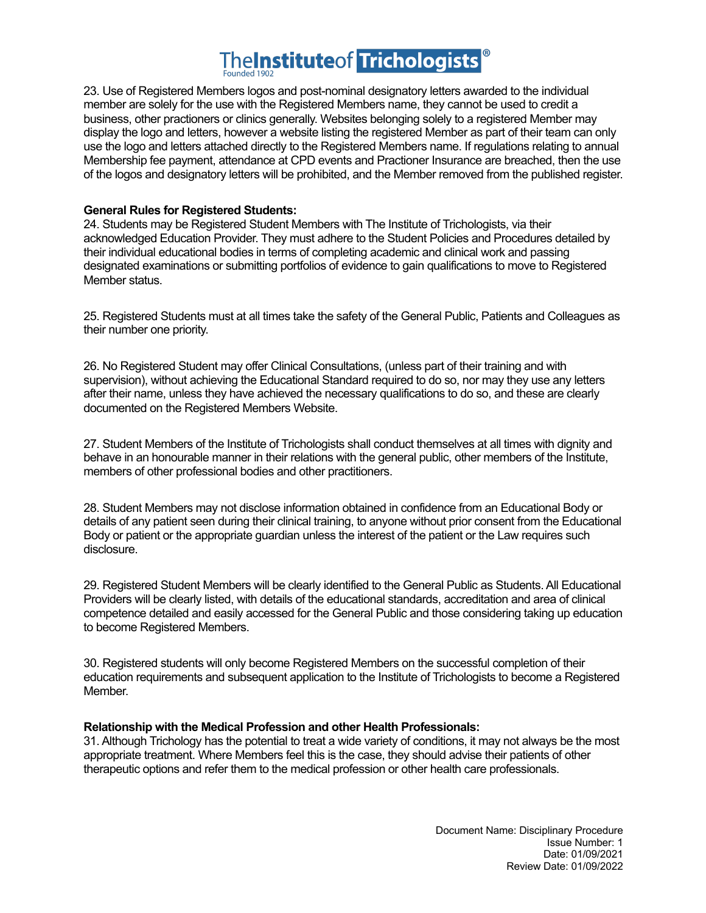23. Use of Registered Members logos and post-nominal designatory letters awarded to the individual member are solely for the use with the Registered Members name, they cannot be used to credit a business, other practioners or clinics generally. Websites belonging solely to a registered Member may display the logo and letters, however a website listing the registered Member as part of their team can only use the logo and letters attached directly to the Registered Members name. If regulations relating to annual Membership fee payment, attendance at CPD events and Practioner Insurance are breached, then the use of the logos and designatory letters will be prohibited, and the Member removed from the published register.

### **General Rules for Registered Students:**

24. Students may be Registered Student Members with The Institute of Trichologists, via their acknowledged Education Provider. They must adhere to the Student Policies and Procedures detailed by their individual educational bodies in terms of completing academic and clinical work and passing designated examinations or submitting portfolios of evidence to gain qualifications to move to Registered Member status.

25. Registered Students must at all times take the safety of the General Public, Patients and Colleagues as their number one priority.

26. No Registered Student may offer Clinical Consultations, (unless part of their training and with supervision), without achieving the Educational Standard required to do so, nor may they use any letters after their name, unless they have achieved the necessary qualifications to do so, and these are clearly documented on the Registered Members Website.

27. Student Members of the Institute of Trichologists shall conduct themselves at all times with dignity and behave in an honourable manner in their relations with the general public, other members of the Institute, members of other professional bodies and other practitioners.

28. Student Members may not disclose information obtained in confidence from an Educational Body or details of any patient seen during their clinical training, to anyone without prior consent from the Educational Body or patient or the appropriate guardian unless the interest of the patient or the Law requires such disclosure.

29. Registered Student Members will be clearly identified to the General Public as Students. All Educational Providers will be clearly listed, with details of the educational standards, accreditation and area of clinical competence detailed and easily accessed for the General Public and those considering taking up education to become Registered Members.

30. Registered students will only become Registered Members on the successful completion of their education requirements and subsequent application to the Institute of Trichologists to become a Registered Member.

### **Relationship with the Medical Profession and other Health Professionals:**

31. Although Trichology has the potential to treat a wide variety of conditions, it may not always be the most appropriate treatment. Where Members feel this is the case, they should advise their patients of other therapeutic options and refer them to the medical profession or other health care professionals.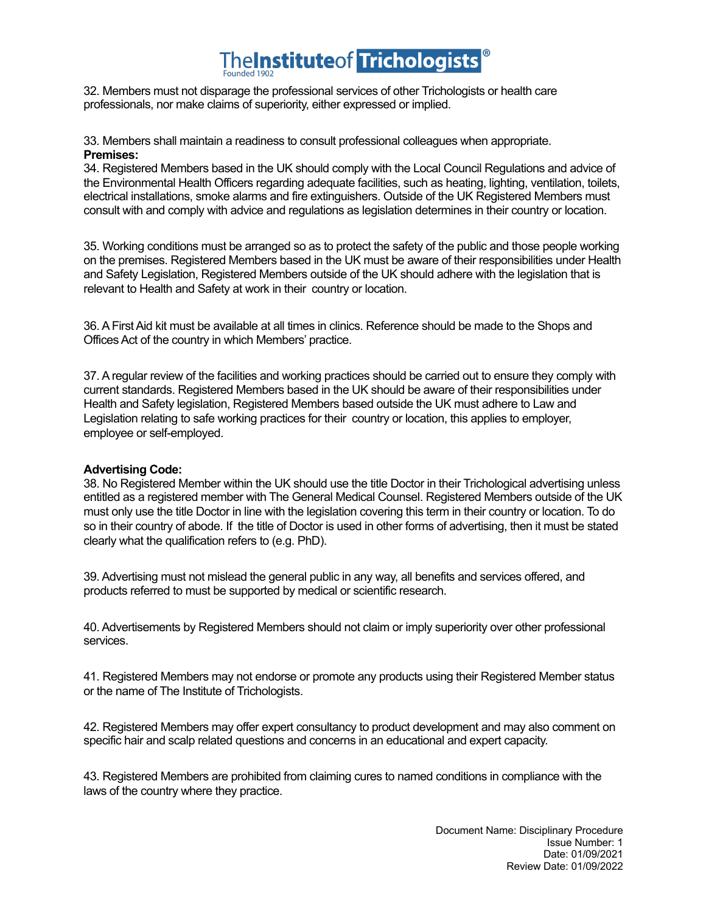32. Members must not disparage the professional services of other Trichologists or health care professionals, nor make claims of superiority, either expressed or implied.

33. Members shall maintain a readiness to consult professional colleagues when appropriate. **Premises:**

34. Registered Members based in the UK should comply with the Local Council Regulations and advice of the Environmental Health Officers regarding adequate facilities, such as heating, lighting, ventilation, toilets, electrical installations, smoke alarms and fire extinguishers. Outside of the UK Registered Members must consult with and comply with advice and regulations as legislation determines in their country or location.

35. Working conditions must be arranged so as to protect the safety of the public and those people working on the premises. Registered Members based in the UK must be aware of their responsibilities under Health and Safety Legislation, Registered Members outside of the UK should adhere with the legislation that is relevant to Health and Safety at work in their country or location.

36. A First Aid kit must be available at all times in clinics. Reference should be made to the Shops and Offices Act of the country in which Members' practice.

37. A regular review of the facilities and working practices should be carried out to ensure they comply with current standards. Registered Members based in the UK should be aware of their responsibilities under Health and Safety legislation, Registered Members based outside the UK must adhere to Law and Legislation relating to safe working practices for their country or location, this applies to employer, employee or self-employed.

### **Advertising Code:**

38. No Registered Member within the UK should use the title Doctor in their Trichological advertising unless entitled as a registered member with The General Medical Counsel. Registered Members outside of the UK must only use the title Doctor in line with the legislation covering this term in their country or location. To do so in their country of abode. If the title of Doctor is used in other forms of advertising, then it must be stated clearly what the qualification refers to (e.g. PhD).

39. Advertising must not mislead the general public in any way, all benefits and services offered, and products referred to must be supported by medical or scientific research.

40. Advertisements by Registered Members should not claim or imply superiority over other professional services.

41. Registered Members may not endorse or promote any products using their Registered Member status or the name of The Institute of Trichologists.

42. Registered Members may offer expert consultancy to product development and may also comment on specific hair and scalp related questions and concerns in an educational and expert capacity.

43. Registered Members are prohibited from claiming cures to named conditions in compliance with the laws of the country where they practice.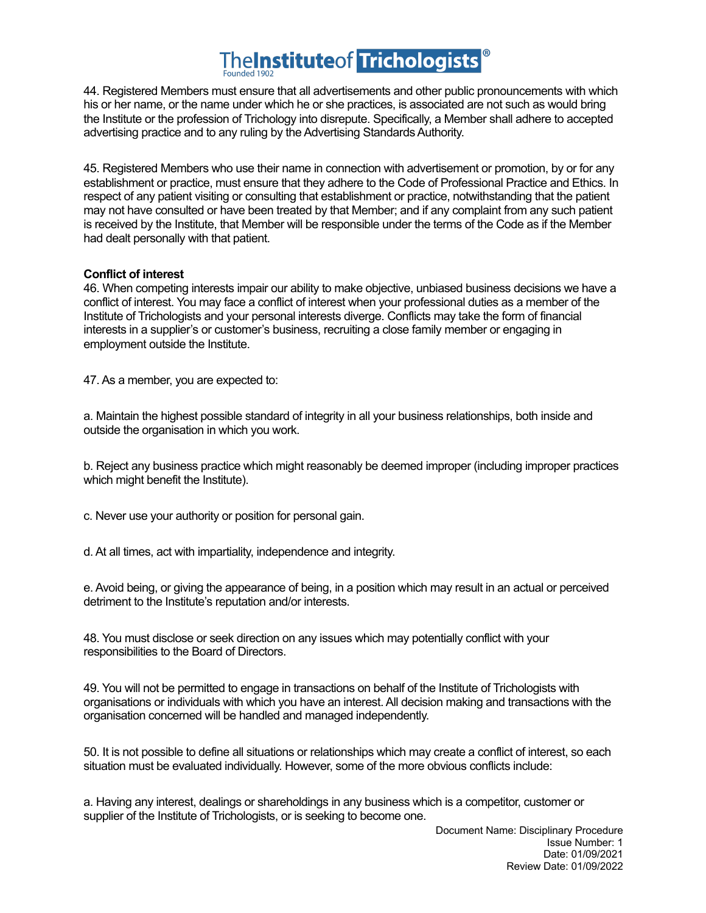44. Registered Members must ensure that all advertisements and other public pronouncements with which his or her name, or the name under which he or she practices, is associated are not such as would bring the Institute or the profession of Trichology into disrepute. Specifically, a Member shall adhere to accepted advertising practice and to any ruling by the Advertising Standards Authority.

45. Registered Members who use their name in connection with advertisement or promotion, by or for any establishment or practice, must ensure that they adhere to the Code of Professional Practice and Ethics. In respect of any patient visiting or consulting that establishment or practice, notwithstanding that the patient may not have consulted or have been treated by that Member; and if any complaint from any such patient is received by the Institute, that Member will be responsible under the terms of the Code as if the Member had dealt personally with that patient.

### **Conflict of interest**

46. When competing interests impair our ability to make objective, unbiased business decisions we have a conflict of interest. You may face a conflict of interest when your professional duties as a member of the Institute of Trichologists and your personal interests diverge. Conflicts may take the form of financial interests in a supplier's or customer's business, recruiting a close family member or engaging in employment outside the Institute.

47. As a member, you are expected to:

a. Maintain the highest possible standard of integrity in all your business relationships, both inside and outside the organisation in which you work.

b. Reject any business practice which might reasonably be deemed improper (including improper practices which might benefit the Institute).

c. Never use your authority or position for personal gain.

d. At all times, act with impartiality, independence and integrity.

e. Avoid being, or giving the appearance of being, in a position which may result in an actual or perceived detriment to the Institute's reputation and/or interests.

48. You must disclose or seek direction on any issues which may potentially conflict with your responsibilities to the Board of Directors.

49. You will not be permitted to engage in transactions on behalf of the Institute of Trichologists with organisations or individuals with which you have an interest. All decision making and transactions with the organisation concerned will be handled and managed independently.

50. It is not possible to define all situations or relationships which may create a conflict of interest, so each situation must be evaluated individually. However, some of the more obvious conflicts include:

a. Having any interest, dealings or shareholdings in any business which is a competitor, customer or supplier of the Institute of Trichologists, or is seeking to become one.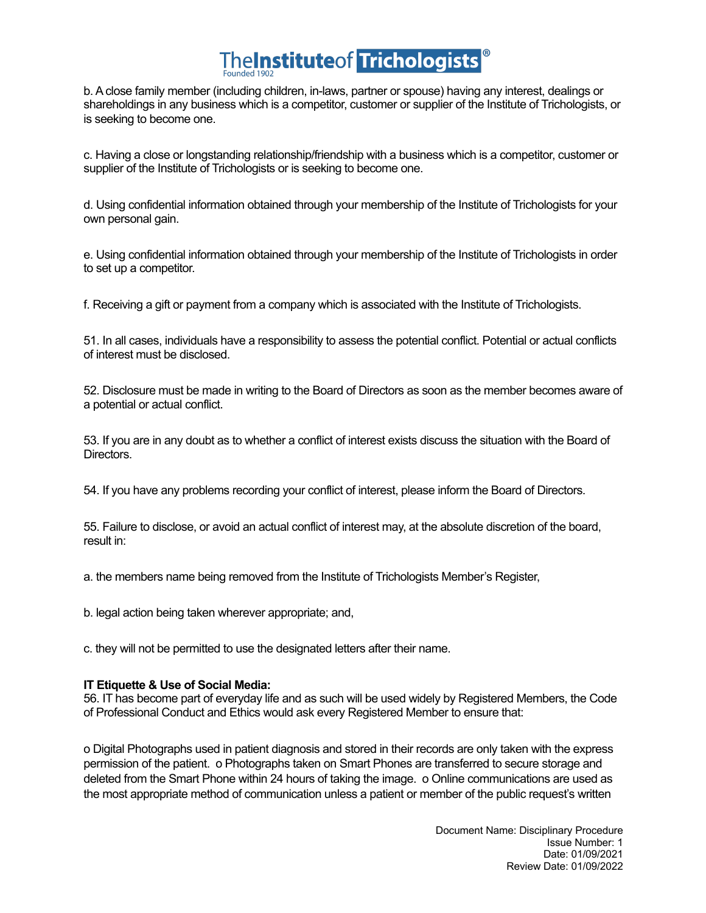b. A close family member (including children, in-laws, partner or spouse) having any interest, dealings or shareholdings in any business which is a competitor, customer or supplier of the Institute of Trichologists, or is seeking to become one.

c. Having a close or longstanding relationship/friendship with a business which is a competitor, customer or supplier of the Institute of Trichologists or is seeking to become one.

d. Using confidential information obtained through your membership of the Institute of Trichologists for your own personal gain.

e. Using confidential information obtained through your membership of the Institute of Trichologists in order to set up a competitor.

f. Receiving a gift or payment from a company which is associated with the Institute of Trichologists.

51. In all cases, individuals have a responsibility to assess the potential conflict. Potential or actual conflicts of interest must be disclosed.

52. Disclosure must be made in writing to the Board of Directors as soon as the member becomes aware of a potential or actual conflict.

53. If you are in any doubt as to whether a conflict of interest exists discuss the situation with the Board of Directors.

54. If you have any problems recording your conflict of interest, please inform the Board of Directors.

55. Failure to disclose, or avoid an actual conflict of interest may, at the absolute discretion of the board, result in:

a. the members name being removed from the Institute of Trichologists Member's Register,

b. legal action being taken wherever appropriate; and,

c. they will not be permitted to use the designated letters after their name.

#### **IT Etiquette & Use of Social Media:**

56. IT has become part of everyday life and as such will be used widely by Registered Members, the Code of Professional Conduct and Ethics would ask every Registered Member to ensure that:

o Digital Photographs used in patient diagnosis and stored in their records are only taken with the express permission of the patient. o Photographs taken on Smart Phones are transferred to secure storage and deleted from the Smart Phone within 24 hours of taking the image. o Online communications are used as the most appropriate method of communication unless a patient or member of the public request's written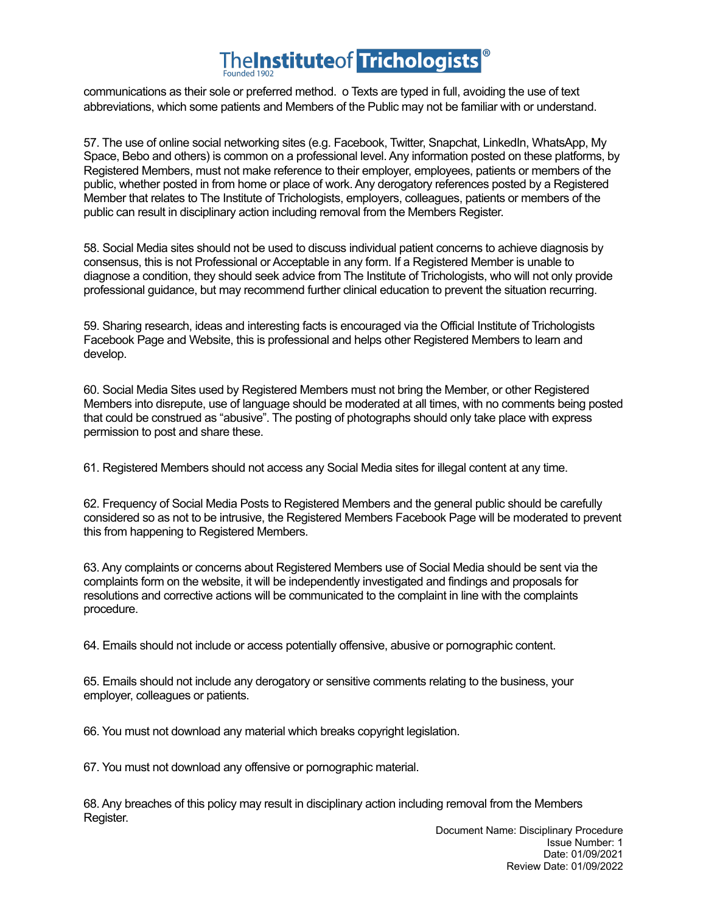communications as their sole or preferred method. o Texts are typed in full, avoiding the use of text abbreviations, which some patients and Members of the Public may not be familiar with or understand.

57. The use of online social networking sites (e.g. Facebook, Twitter, Snapchat, LinkedIn, WhatsApp, My Space, Bebo and others) is common on a professional level. Any information posted on these platforms, by Registered Members, must not make reference to their employer, employees, patients or members of the public, whether posted in from home or place of work. Any derogatory references posted by a Registered Member that relates to The Institute of Trichologists, employers, colleagues, patients or members of the public can result in disciplinary action including removal from the Members Register.

58. Social Media sites should not be used to discuss individual patient concerns to achieve diagnosis by consensus, this is not Professional or Acceptable in any form. If a Registered Member is unable to diagnose a condition, they should seek advice from The Institute of Trichologists, who will not only provide professional guidance, but may recommend further clinical education to prevent the situation recurring.

59. Sharing research, ideas and interesting facts is encouraged via the Official Institute of Trichologists Facebook Page and Website, this is professional and helps other Registered Members to learn and develop.

60. Social Media Sites used by Registered Members must not bring the Member, or other Registered Members into disrepute, use of language should be moderated at all times, with no comments being posted that could be construed as "abusive". The posting of photographs should only take place with express permission to post and share these.

61. Registered Members should not access any Social Media sites for illegal content at any time.

62. Frequency of Social Media Posts to Registered Members and the general public should be carefully considered so as not to be intrusive, the Registered Members Facebook Page will be moderated to prevent this from happening to Registered Members.

63. Any complaints or concerns about Registered Members use of Social Media should be sent via the complaints form on the website, it will be independently investigated and findings and proposals for resolutions and corrective actions will be communicated to the complaint in line with the complaints procedure.

64. Emails should not include or access potentially offensive, abusive or pornographic content.

65. Emails should not include any derogatory or sensitive comments relating to the business, your employer, colleagues or patients.

66. You must not download any material which breaks copyright legislation.

67. You must not download any offensive or pornographic material.

68. Any breaches of this policy may result in disciplinary action including removal from the Members Register.